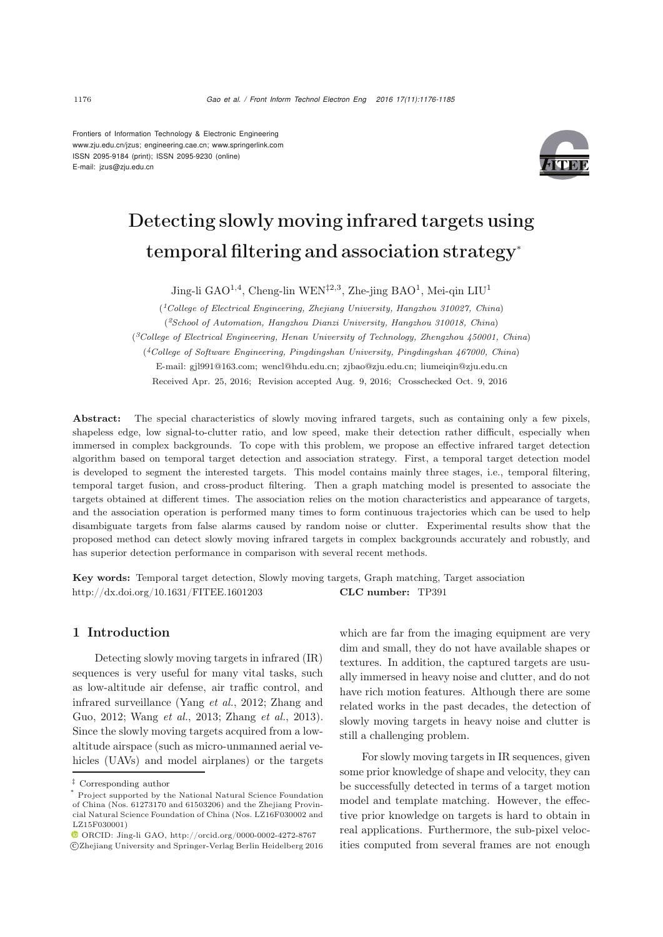Frontiers of Information Technology & Electronic Engineering www.zju.edu.cn/jzus; engineering.cae.cn; www.springerlink.com ISSN 2095-9184 (print); ISSN 2095-9230 (online) E-mail: jzus@zju.edu.cn



# Detecting slowly moving infrared targets using temporal filtering and association strategy<sup>∗</sup>

Jing-li GAO<sup>1,4</sup>, Cheng-lin WEN<sup> $\ddagger$ 2,3</sup>, Zhe-jing BAO<sup>1</sup>, Mei-qin LIU<sup>1</sup>

(*1College of Electrical Engineering, Zhejiang University, Hangzhou 310027, China*) (*2School of Automation, Hangzhou Dianzi University, Hangzhou 310018, China*) (*3College of Electrical Engineering, Henan University of Technology, Zhengzhou 450001, China*)

(*4College of Software Engineering, Pingdingshan University, Pingdingshan 467000, China*)

E-mail: gjl991@163.com; wencl@hdu.edu.cn; zjbao@zju.edu.cn; liumeiqin@zju.edu.cn

Received Apr. 25, 2016; Revision accepted Aug. 9, 2016; Crosschecked Oct. 9, 2016

Abstract: The special characteristics of slowly moving infrared targets, such as containing only a few pixels, shapeless edge, low signal-to-clutter ratio, and low speed, make their detection rather difficult, especially when immersed in complex backgrounds. To cope with this problem, we propose an effective infrared target detection algorithm based on temporal target detection and association strategy. First, a temporal target detection model is developed to segment the interested targets. This model contains mainly three stages, i.e., temporal filtering, temporal target fusion, and cross-product filtering. Then a graph matching model is presented to associate the targets obtained at different times. The association relies on the motion characteristics and appearance of targets, and the association operation is performed many times to form continuous trajectories which can be used to help disambiguate targets from false alarms caused by random noise or clutter. Experimental results show that the proposed method can detect slowly moving infrared targets in complex backgrounds accurately and robustly, and has superior detection performance in comparison with several recent methods.

Key words: Temporal target detection, Slowly moving targets, Graph matching, Target association http://dx.doi.org/10.1631/FITEE.1601203 CLC number: TP391

# 1 Introduction

Detecting slowly moving targets in infrared (IR) sequences is very useful for many vital tasks, such as low-altitude air defense, air traffic control, and infr[ared](#page-9-1) [surveillance](#page-9-1) [\(Yang](#page-9-0) *et al.*, [2012;](#page-9-0) Zhang and Guo, [2012;](#page-9-1) [Wang](#page-9-2) *et al.*, [2013](#page-9-2); [Zhang](#page-9-3) *et al.*, [2013\)](#page-9-3). Since the slowly moving targets acquired from a lowaltitude airspace (such as micro-unmanned aerial vehicles (UAVs) and model airplanes) or the targets which are far from the imaging equipment are very dim and small, they do not have available shapes or textures. In addition, the captured targets are usually immersed in heavy noise and clutter, and do not have rich motion features. Although there are some related works in the past decades, the detection of slowly moving targets in heavy noise and clutter is still a challenging problem.

For slowly moving targets in IR sequences, given some prior knowledge of shape and velocity, they can be successfully detected in terms of a target motion model and template matching. However, the effective prior knowledge on targets is hard to obtain in real applications. Furthermore, the sub-pixel velocities computed from several frames are not enough

*<sup>‡</sup>* Corresponding author

Project supported by the National Natural Science Foundation of China (Nos. 61273170 and 61503206) and the Zhejiang Provincial Natural Science Foundation of China (Nos. LZ16F030002 and LZ15F030001)

ORCID: Jing-li GAO, http://orcid.org/0000-0002-4272-8767 c Zhejiang University and Springer-Verlag Berlin Heidelberg 2016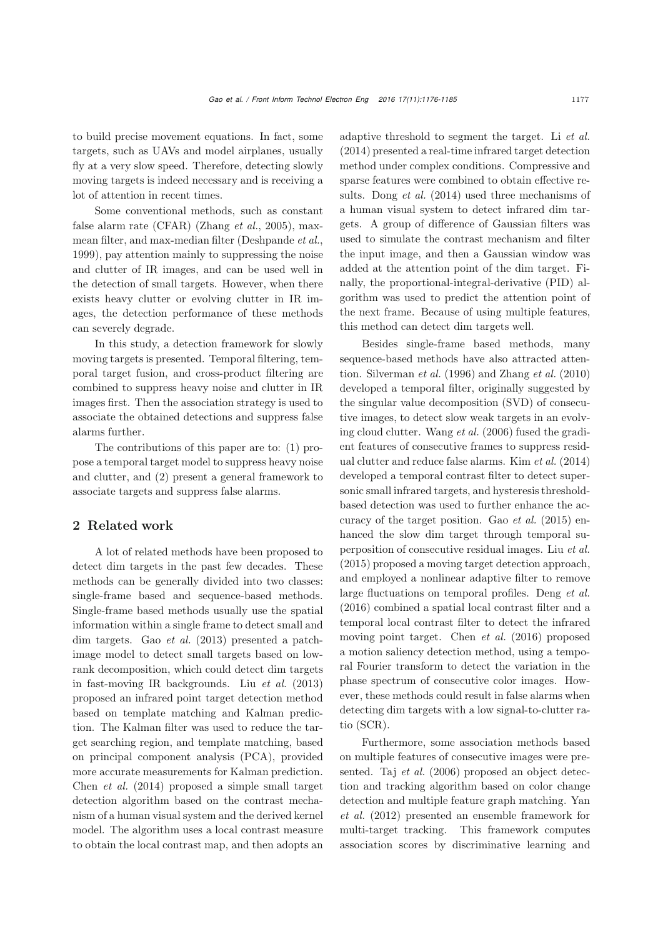to build precise movement equations. In fact, some targets, such as UAVs and model airplanes, usually fly at a very slow speed. Therefore, detecting slowly moving targets is indeed necessary and is receiving a lot of attention in recent times.

Some conventional methods, such as constant false alarm rate (CFAR) [\(Zhang](#page-9-4) *et al.*, [2005](#page-9-4)), maxmean filter, and max-median filter [\(Deshpande](#page-9-5) *et al.*, [1999](#page-9-5)), pay attention mainly to suppressing the noise and clutter of IR images, and can be used well in the detection of small targets. However, when there exists heavy clutter or evolving clutter in IR images, the detection performance of these methods can severely degrade.

In this study, a detection framework for slowly moving targets is presented. Temporal filtering, temporal target fusion, and cross-product filtering are combined to suppress heavy noise and clutter in IR images first. Then the association strategy is used to associate the obtained detections and suppress false alarms further.

The contributions of this paper are to: (1) propose a temporal target model to suppress heavy noise and clutter, and (2) present a general framework to associate targets and suppress false alarms.

## 2 Related work

A lot of related methods have been proposed to detect dim targets in the past few decades. These methods can be generally divided into two classes: single-frame based and sequence-based methods. Single-frame based methods usually use the spatial information within a single frame to detect small and dim targets. Gao *[et al.](#page-9-6)* [\(2013\)](#page-9-6) presented a patchimage model to detect small targets based on lowrank decomposition, which could detect dim targets in fast-moving IR backgrounds. Liu *[et al.](#page-9-7)* [\(2013](#page-9-7)) proposed an infrared point target detection method based on template matching and Kalman prediction. The Kalman filter was used to reduce the target searching region, and template matching, based on principal component analysis (PCA), provided more accurate measurements for Kalman prediction. [Chen](#page-9-8) *et al.* [\(2014\)](#page-9-8) proposed a simple small target detection algorithm based on the contrast mechanism of a human visual system and the derived kernel model. The algorithm uses a local contrast measure to obtain the local contrast map, and then adopts an adaptive threshold to segment the target. Li *[et al.](#page-9-9)* [\(2014](#page-9-9)) presented a real-time infrared target detection method under complex conditions. Compressive and sparse features were combined to obtain effective results. [Dong](#page-9-10) *et al.* [\(2014\)](#page-9-10) used three mechanisms of a human visual system to detect infrared dim targets. A group of difference of Gaussian filters was used to simulate the contrast mechanism and filter the input image, and then a Gaussian window was added at the attention point of the dim target. Finally, the proportional-integral-derivative (PID) algorithm was used to predict the attention point of the next frame. Because of using multiple features, this method can detect dim targets well.

Besides single-frame based methods, many sequence-based methods have also attracted attention. [Silverman](#page-9-11) *et al.* [\(1996](#page-9-11)) and [Zhang](#page-9-12) *et al.* [\(2010](#page-9-12)) developed a temporal filter, originally suggested by the singular value decomposition (SVD) of consecutive images, to detect slow weak targets in an evolving cloud clutter. [Wang](#page-9-13) *et al.* [\(2006](#page-9-13)) fused the gradient features of consecutive frames to suppress residual clutter and reduce false alarms. Kim *[et al.](#page-9-14)* [\(2014](#page-9-14)) developed a temporal contrast filter to detect supersonic small infrared targets, and hysteresis thresholdbased detection was used to further enhance the accuracy of the target position. Gao *[et al.](#page-9-15)* [\(2015\)](#page-9-15) enhanced the slow dim target through temporal superposition of consecutive residual images. Liu *[et al.](#page-9-16)* [\(2015](#page-9-16)) proposed a moving target detection approach, and employed a nonlinear adaptive filter to remove large fluctuations on temporal profiles. [Deng](#page-9-17) *et al.* [\(2016](#page-9-17)) combined a spatial local contrast filter and a temporal local contrast filter to detect the infrared moving point target. [Chen](#page-9-18) *et al.* [\(2016\)](#page-9-18) proposed a motion saliency detection method, using a temporal Fourier transform to detect the variation in the phase spectrum of consecutive color images. However, these methods could result in false alarms when detecting dim targets with a low signal-to-clutter ratio (SCR).

Furthermore, some association methods based on multiple features of consecutive images were presented. Taj *[et al.](#page-9-19)* [\(2006\)](#page-9-19) proposed an object detection and tracking algorithm based on color change detec[tion](#page-9-20) [and](#page-9-20) [multiple](#page-9-20) [feature](#page-9-20) [graph](#page-9-20) [matching.](#page-9-20) Yan *et al.* [\(2012](#page-9-20)) presented an ensemble framework for multi-target tracking. This framework computes association scores by discriminative learning and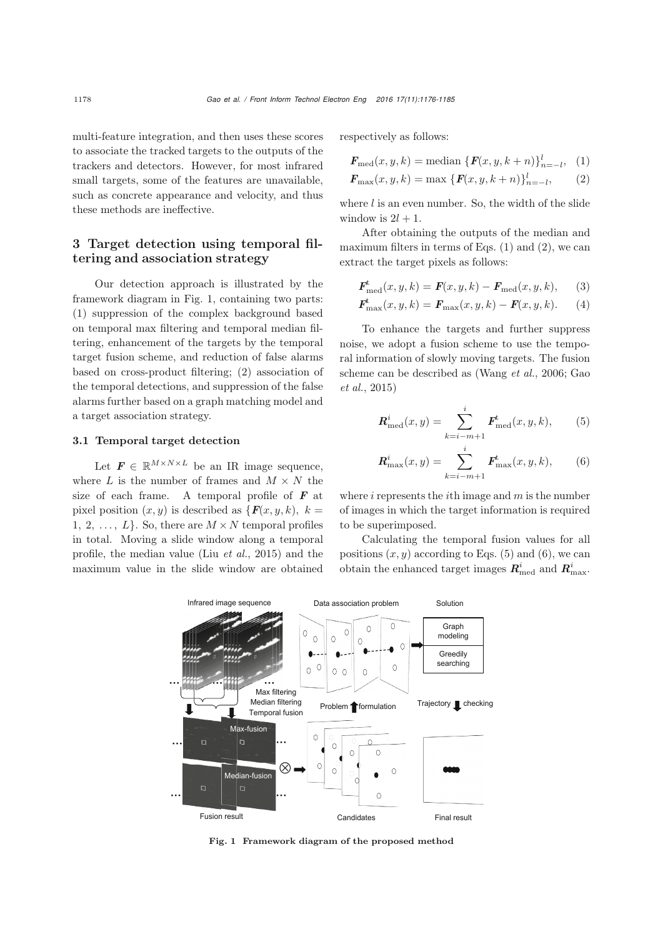multi-feature integration, and then uses these scores to associate the tracked targets to the outputs of the trackers and detectors. However, for most infrared small targets, some of the features are unavailable, such as concrete appearance and velocity, and thus these methods are ineffective.

# 3 Target detection using temporal filtering and association strategy

Our detection approach is illustrated by the framework diagram in Fig. [1,](#page-2-0) containing two parts: (1) suppression of the complex background based on temporal max filtering and temporal median filtering, enhancement of the targets by the temporal target fusion scheme, and reduction of false alarms based on cross-product filtering; (2) association of the temporal detections, and suppression of the false alarms further based on a graph matching model and a target association strategy.

### 3.1 Temporal target detection

Let  $\mathbf{F} \in \mathbb{R}^{M \times N \times L}$  be an IR image sequence, where  $L$  is the number of frames and  $M \times N$  the size of each frame. A temporal profile of *F* at pixel position  $(x, y)$  is described as  $\{F(x, y, k), k\}$ 1, 2, ...,  $L$ . So, there are  $M \times N$  temporal profiles in total. Moving a slide window along a temporal profile, the median value (Liu *[et al.](#page-9-16)*, [2015](#page-9-16)) and the maximum value in the slide window are obtained

respectively as follows:

<span id="page-2-1"></span>
$$
F_{\text{med}}(x, y, k) = \text{median}\{F(x, y, k+n)\}_{n=-l}^{l}, \quad (1)
$$

<span id="page-2-2"></span>
$$
F_{\max}(x, y, k) = \max \{ F(x, y, k+n) \}_{n=-l}^{l}, \qquad (2)
$$

where  $l$  is an even number. So, the width of the slide window is  $2l + 1$ .

After obtaining the outputs of the median and maximum filters in terms of Eqs.  $(1)$  and  $(2)$ , we can extract the target pixels as follows:

$$
\boldsymbol{F}_{\text{med}}^{t}(x, y, k) = \boldsymbol{F}(x, y, k) - \boldsymbol{F}_{\text{med}}(x, y, k), \qquad (3)
$$

$$
\bm{F}_{\max}^{t}(x, y, k) = \bm{F}_{\max}(x, y, k) - \bm{F}(x, y, k). \quad (4)
$$

To enhance the targets and further suppress noise, we adopt a fusion scheme to use the temporal information of slowly moving targets. The fusion sche[me](#page-9-15) [can](#page-9-15) [be](#page-9-15) [described](#page-9-15) [as](#page-9-15) [\(Wang](#page-9-13) *et al.*, [2006;](#page-9-13) Gao *et al.*, [2015\)](#page-9-15)

<span id="page-2-3"></span>
$$
\mathbf{R}_{\text{med}}^{i}(x,y) = \sum_{k=i-m+1}^{i} \mathbf{F}_{\text{med}}^{k}(x,y,k), \qquad (5)
$$

<span id="page-2-4"></span>
$$
\mathbf{R}^{i}_{\max}(x,y) = \sum_{k=i-m+1}^{i} \mathbf{F}^{t}_{\max}(x,y,k),
$$
 (6)

where  $i$  represents the *i*th image and  $m$  is the number of images in which the target information is required to be superimposed.

Calculating the temporal fusion values for all positions  $(x, y)$  according to Eqs. [\(5\)](#page-2-3) and [\(6\)](#page-2-4), we can obtain the enhanced target images  $\mathbf{R}_{\text{med}}^i$  and  $\mathbf{R}_{\text{max}}^i$ .



<span id="page-2-0"></span>Fig. 1 Framework diagram of the proposed method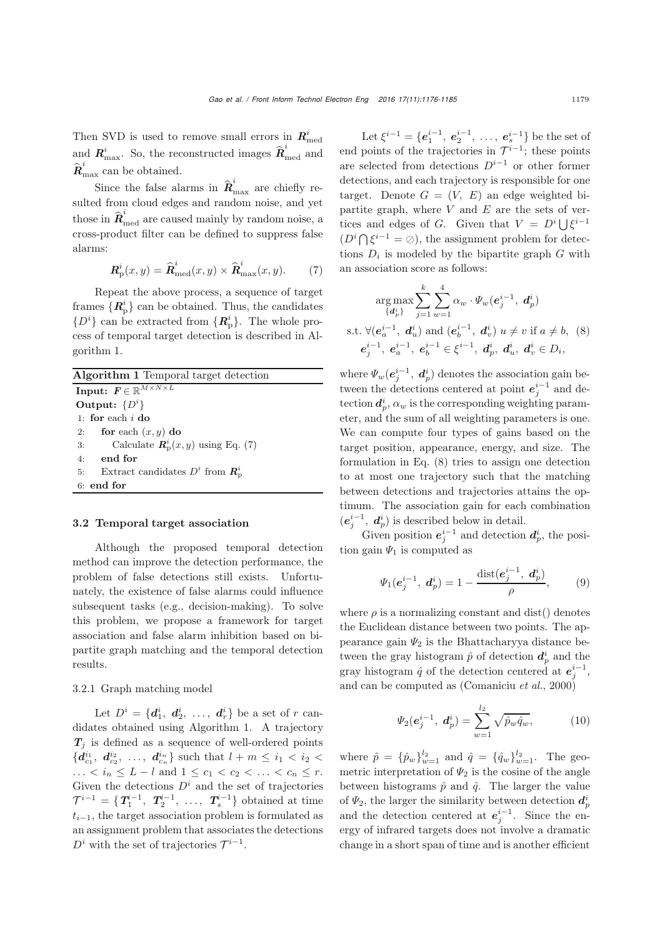Then SVD is used to remove small errors in  $\mathbf{R}_{\text{med}}^i$ and  $\boldsymbol{R}_{\text{max}}^i$ . So, the reconstructed images  $\widehat{\boldsymbol{R}}_{\text{med}}^i$  and  $\hat{\boldsymbol{R}}_{\text{max}}^i$  can be obtained.

Since the false alarms in  $\hat{\boldsymbol{R}}_{\text{max}}^i$  are chiefly resulted from cloud edges and random noise, and yet those in  $\hat{\mathbf{R}}_{\text{med}}^i$  are caused mainly by random noise, a cross-product filter can be defined to suppress false alarms:

<span id="page-3-1"></span>
$$
\boldsymbol{R}_{\mathrm{p}}^{i}(x,y) = \widehat{\boldsymbol{R}}_{\mathrm{med}}^{i}(x,y) \times \widehat{\boldsymbol{R}}_{\mathrm{max}}^{i}(x,y). \qquad (7)
$$

Repeat the above process, a sequence of target frames  $\{R^i_p\}$  can be obtained. Thus, the candidates  $\{D^i\}$  can be extracted from  $\{R^i_p\}$ . The whole process of temporal target detection is described in Algorithm [1.](#page-3-0)

#### <span id="page-3-0"></span>3.2 Temporal target association

Although the proposed temporal detection method can improve the detection performance, the problem of false detections still exists. Unfortunately, the existence of false alarms could influence subsequent tasks (e.g., decision-making). To solve this problem, we propose a framework for target association and false alarm inhibition based on bipartite graph matching and the temporal detection results.

## 3.2.1 Graph matching model

Let  $D^i = \{d^i_1, d^i_2, \ldots, d^i_r\}$  be a set of r can-<br>tes obtained using Algorithm 1. A trajectory didates obtained using Algorithm [1.](#page-3-0) A trajectory  $T_j$  is defined as a sequence of well-ordered points  ${d^{i_1}_{c_1}, d^{i_2}_{c_2}, \ldots, d^{i_n}_{c_n}}$  such that  $l + m \leq i_1 < i_2 <$ ... <  $i_n \leq L - l$  and  $1 \leq c_1 < c_2 < ... < c_n \leq r$ . Given the detections  $D^i$  and the set of trajectories<br>  $\mathcal{T}^{i-1} = \{ \mathcal{T}_1^{i-1}, \mathcal{T}_2^{i-1}, \dots, \mathcal{T}_s^{i-1} \}$  obtained at time  $t_{i-1}$ , the target association problem is formulated as an assignment problem that associates the detections  $D<sup>i</sup>$  with the set of trajectories  $\mathcal{T}^{i-1}$ .

Let  $\xi^{i-1} = \{e_1^{i-1}, e_2^{i-1}, \ldots, e_s^{i-1}\}$  be the set of points of the trajectories in  $\tau^{i-1}$ , these points end points of the trajectories in  $\mathcal{T}^{i-1}$ ; these points are selected from detections D*i*−<sup>1</sup> or other former detections, and each trajectory is responsible for one target. Denote  $G = (V, E)$  an edge weighted bipartite graph, where  $V$  and  $E$  are the sets of vertices and edges of G. Given that  $V = D<sup>i</sup> \mid \int \xi^{i-1}$  $(D<sup>i</sup> \cap \xi^{i-1} = \emptyset)$ , the assignment problem for detections  $D_i$  is modeled by the bipartite graph  $G$  with an association score as follows:

<span id="page-3-2"></span>
$$
\arg \max_{\{d_p^i\}} \sum_{j=1}^k \sum_{w=1}^4 \alpha_w \cdot \Psi_w(e_j^{i-1}, d_p^i)
$$
  
s.t.  $\forall (e_a^{i-1}, d_u^i)$  and  $(e_b^{i-1}, d_v^i)$   $u \neq v$  if  $a \neq b$ , (8)  
 $e_j^{i-1}, e_a^{i-1}, e_b^{i-1} \in \xi^{i-1}, d_p^i, d_u^i, d_v^i \in D_i$ ,

where  $\Psi_w(e_j^{i-1}, d_p^i)$  denotes the association gain be-<br>typen the detections gentered at point  $e^{i-1}$  and de tween the detections centered at point  $e_j^{i-1}$  and detection  $\mathbf{d}_p^i$ ,  $\alpha_w$  is the corresponding weighting parameters  $p$ eter, and the sum of all weighting parameters is one. We can compute four types of gains based on the target position, appearance, energy, and size. The formulation in Eq. [\(8\)](#page-3-2) tries to assign one detection to at most one trajectory such that the matching between detections and trajectories attains the optimum. The association gain for each combination  $(e_j^{i-1}, d_p^i)$  is described below in detail.

Given position  $e_i^{i-1}$  and detection  $d_p^i$ , the position gain  $\Psi_1$  is computed as

$$
\Psi_1(e_j^{i-1}, d_p^i) = 1 - \frac{\text{dist}(e_j^{i-1}, d_p^i)}{\rho}, \qquad (9)
$$

where  $\rho$  is a normalizing constant and dist() denotes the Euclidean distance between two points. The appearance gain  $\Psi_2$  is the Bhattacharyya distance between the gray histogram  $\hat{p}$  of detection  $d_p^i$  and the gray histogram  $\hat{q}$  of the detection centered at  $e_j^{i-1}$ , and can be computed as [\(Comaniciu](#page-9-21) *et al.*, [2000\)](#page-9-21)

$$
\Psi_2(e_j^{i-1}, d_p^i) = \sum_{w=1}^{l_2} \sqrt{\hat{p}_w \hat{q}_w},
$$
\n(10)

where  $\hat{p} = {\hat{p}_w}_{w=1}^{l_2}$  and  $\hat{q} = {\hat{q}_w}_{w=1}^{l_2}$ . The geometric interpretation of  $\Psi_2$  is the cosine of the angle between histograms  $\hat{p}$  and  $\hat{q}$ . The larger the value of  $\Psi_2$ , the larger the similarity between detection  $d_p^i$ <br>and the detection contened at  $e^{i-1}$ . Since the on and the detection centered at  $e_i^{i-1}$ . Since the energy of infrared targets does not involve a dramatic change in a short span of time and is another efficient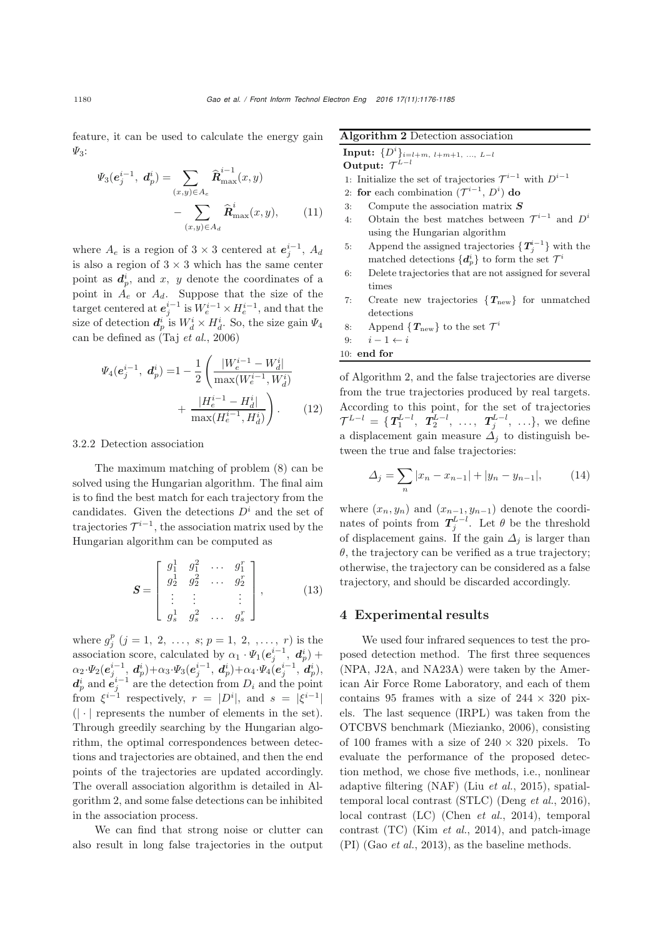feature, it can be used to calculate the energy gain  $\Psi_3$ :

$$
\Psi_3(e_j^{i-1}, d_p^i) = \sum_{(x,y)\in A_e} \hat{\mathbf{R}}_{\text{max}}^{i-1}(x, y) - \sum_{(x,y)\in A_d} \hat{\mathbf{R}}_{\text{max}}^i(x, y), \qquad (11)
$$

where  $A_e$  is a region of  $3 \times 3$  centered at  $e_j^{i-1}$ ,  $A_d$ <br>is also a region of  $3 \times 3$  which has the same enter is also a region of  $3 \times 3$  which has the same center point as  $d_p^i$ , and x, y denote the coordinates of a point in <sup>A</sup>*<sup>e</sup>* or <sup>A</sup>*<sup>d</sup>*. Suppose that the size of the target centered at  $e_j^{i-1}$  is  $W_e^{i-1} \times H_e^{i-1}$ , and that the sine of detection  $d_i^i$  is  $W_e^{i} \times H_e^{i}$ . So the sine gain  $W_e$ size of detection  $d_p^i$  is  $W_d^i \times H_d^i$ . So, the size gain  $\Psi_4$ can be defined as (Taj *[et al.](#page-9-19)*, [2006\)](#page-9-19)

$$
\Psi_4(e_j^{i-1}, d_p^i) = 1 - \frac{1}{2} \left( \frac{|W_e^{i-1} - W_d^i|}{\max(W_e^{i-1}, W_d^i)} + \frac{|H_e^{i-1} - H_d^i|}{\max(H_e^{i-1}, H_d^i)} \right). \tag{12}
$$

#### 3.2.2 Detection association

The maximum matching of problem [\(8\)](#page-3-2) can be solved using the Hungarian algorithm. The final aim is to find the best match for each trajectory from the candidates. Given the detections  $D^i$  and the set of trajectories  $\mathcal{T}^{i-1}$ , the association matrix used by the Hungarian algorithm can be computed as

$$
\mathbf{S} = \begin{bmatrix} g_1^1 & g_1^2 & \cdots & g_1^r \\ g_2^1 & g_2^2 & \cdots & g_2^r \\ \vdots & \vdots & & \vdots \\ g_s^1 & g_s^2 & \cdots & g_s^r \end{bmatrix}, \qquad (13)
$$

where  $g_j^p$   $(j = 1, 2, ..., s; p = 1, 2, ..., r)$  is the association score, calculated by  $\alpha_1 \cdot \Psi_1(e^{i-1}, d^i) +$ <br> $\alpha_2 \Psi_1(e^{i-1}, d^i) + \alpha_3 \Psi_2(e^{i-1}, d^i) + \alpha_4 \Psi_3(e^{i-1}, d^i)$  $\alpha_2 \cdot \Psi_2(e^{i-1}_{j}, d^i_p) + \alpha_3 \cdot \Psi_3(e^{i-1}_{j}, d^i_p) + \alpha_4 \cdot \Psi_4(e^{i-1}_{j}, d^i_p),$ <br> *d*<sup>*i*</sup> and  $e^{i-1}$  are the detection from *D*, and the point  $d_p^i$  and  $e_j^{i-1}$  are the detection from  $D_i$  and the point from  $\xi^{i-1}$  respectively,  $r = |D^i|$ , and  $s = |\xi^{i-1}|$ <br>( $\downarrow$  represents the number of elements in the set)  $(| \cdot |)$  represents the number of elements in the set). Through greedily searching by the Hungarian algorithm, the optimal correspondences between detections and trajectories are obtained, and then the end points of the trajectories are updated accordingly. The overall association algorithm is detailed in Algorithm [2,](#page-4-0) and some false detections can be inhibited in the association process.

We can find that strong noise or clutter can also result in long false trajectories in the output

Algorithm 2 Detection association Input: {*D<sup>i</sup>* }*i*=*l*+*m, l*+*m*+1*, ..., L−<sup>l</sup>*

Output:  $\mathcal{T}^{L-l}$ 

- 1: Initialize the set of trajectories  $\mathcal{T}^{i-1}$  with  $D^{i-1}$
- 2: for each combination  $(\mathcal{T}^{i-1}, D^i)$  do
- 3: Compute the association matrix *S*
- 4: Obtain the best matches between  $\mathcal{T}^{i-1}$  and  $D^i$ using the Hungarian algorithm
- 5: Append the assigned trajectories  $\{T_j^{i-1}\}\$  with the matched detections  $\{d_p^i\}$  to form the set  $\mathcal{T}^i$
- 6: Delete trajectories that are not assigned for several times
- 7: Create new trajectories  ${T_{\text{new}}}$  for unmatched detections
- 8: Append  $\{T_{\text{new}}\}$  to the set  $\mathcal{T}^i$

<span id="page-4-0"></span>9: *i* − 1 ← *i*

$$
10\mathrm{:}\ \, \mathbf{end}\,\,\mathbf{for}\,\,
$$

of Algorithm [2,](#page-4-0) and the false trajectories are diverse from the true trajectories produced by real targets. According to this point, for the set of trajectories  $\mathcal{T}^{L-l} = {\mathbf{T}_1^{L-l}, \mathbf{T}_2^{L-l}, \dots, \mathbf{T}_j^{L-l}, \dots}$ , we define a displacement gain measure  $\tilde{\Delta}_i$  to distinguish between the true and false trajectories:

$$
\Delta_j = \sum_n |x_n - x_{n-1}| + |y_n - y_{n-1}|,\tag{14}
$$

where  $(x_n, y_n)$  and  $(x_{n-1}, y_{n-1})$  denote the coordinates of points from  $T_f^{L-l}$ . Let  $\theta$  be the threshold of displacement gains. If the gain  $\Delta_i$  is larger than  $\theta$ , the trajectory can be verified as a true trajectory; otherwise, the trajectory can be considered as a false trajectory, and should be discarded accordingly.

#### 4 Experimental results

We used four infrared sequences to test the proposed detection method. The first three sequences (NPA, J2A, and NA23A) were taken by the American Air Force Rome Laboratory, and each of them contains 95 frames with a size of  $244 \times 320$  pixels. The last sequence (IRPL) was taken from the OTCBVS benchmark [\(Miezianko, 2006](#page-9-22)), consisting of 100 frames with a size of  $240 \times 320$  pixels. To evaluate the performance of the proposed detection method, we chose five methods, i.e., nonlinear adaptive filtering (NAF) (Liu *[et al.](#page-9-16)*, [2015\)](#page-9-16), spatialtemporal local contrast (STLC) [\(Deng](#page-9-17) *et al.*, [2016\)](#page-9-17), local contrast (LC) [\(Chen](#page-9-8) *et al.*, [2014](#page-9-8)), temporal contrast (TC) (Kim *[et al.](#page-9-14)*, [2014\)](#page-9-14), and patch-image (PI) (Gao *[et al.](#page-9-6)*, [2013](#page-9-6)), as the baseline methods.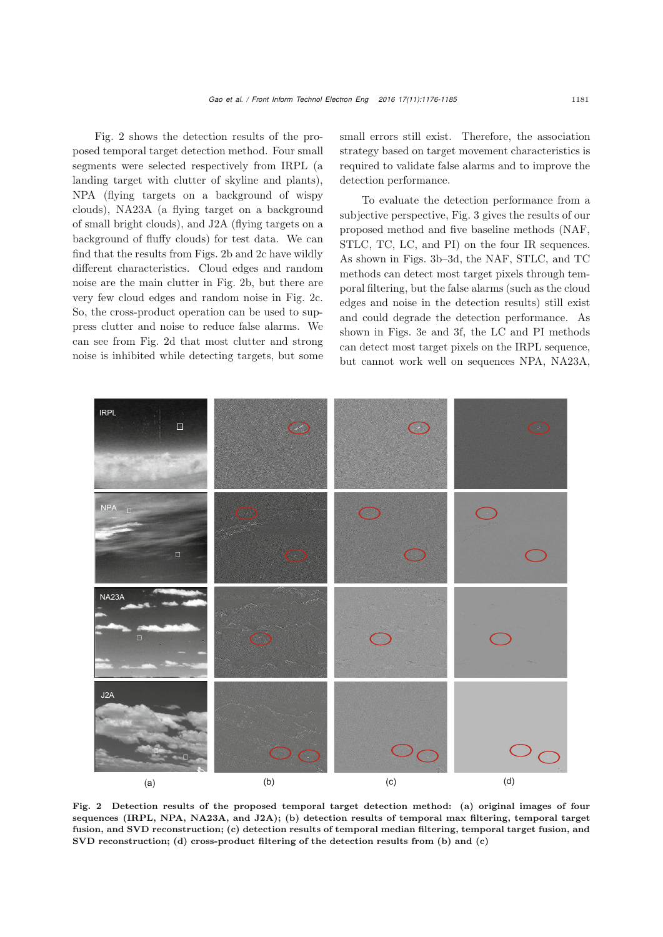Fig. [2](#page-5-0) shows the detection results of the proposed temporal target detection method. Four small segments were selected respectively from IRPL (a landing target with clutter of skyline and plants), NPA (flying targets on a background of wispy clouds), NA23A (a flying target on a background of small bright clouds), and J2A (flying targets on a background of fluffy clouds) for test data. We can find that the results from Figs. [2b](#page-5-0) and [2c](#page-5-0) have wildly different characteristics. Cloud edges and random noise are the main clutter in Fig. [2b](#page-5-0), but there are very few cloud edges and random noise in Fig. [2c](#page-5-0). So, the cross-product operation can be used to suppress clutter and noise to reduce false alarms. We can see from Fig. [2d](#page-5-0) that most clutter and strong noise is inhibited while detecting targets, but some small errors still exist. Therefore, the association strategy based on target movement characteristics is required to validate false alarms and to improve the detection performance.

To evaluate the detection performance from a subjective perspective, Fig. [3](#page-6-0) gives the results of our proposed method and five baseline methods (NAF, STLC, TC, LC, and PI) on the four IR sequences. As shown in Figs. [3b–3d](#page-6-0), the NAF, STLC, and TC methods can detect most target pixels through temporal filtering, but the false alarms (such as the cloud edges and noise in the detection results) still exist and could degrade the detection performance. As shown in Figs. [3e](#page-6-0) and [3f](#page-6-0), the LC and PI methods can detect most target pixels on the IRPL sequence, but cannot work well on sequences NPA, NA23A,



<span id="page-5-0"></span>Fig. 2 Detection results of the proposed temporal target detection method: (a) original images of four sequences (IRPL, NPA, NA23A, and J2A); (b) detection results of temporal max filtering, temporal target fusion, and SVD reconstruction; (c) detection results of temporal median filtering, temporal target fusion, and SVD reconstruction; (d) cross-product filtering of the detection results from (b) and (c)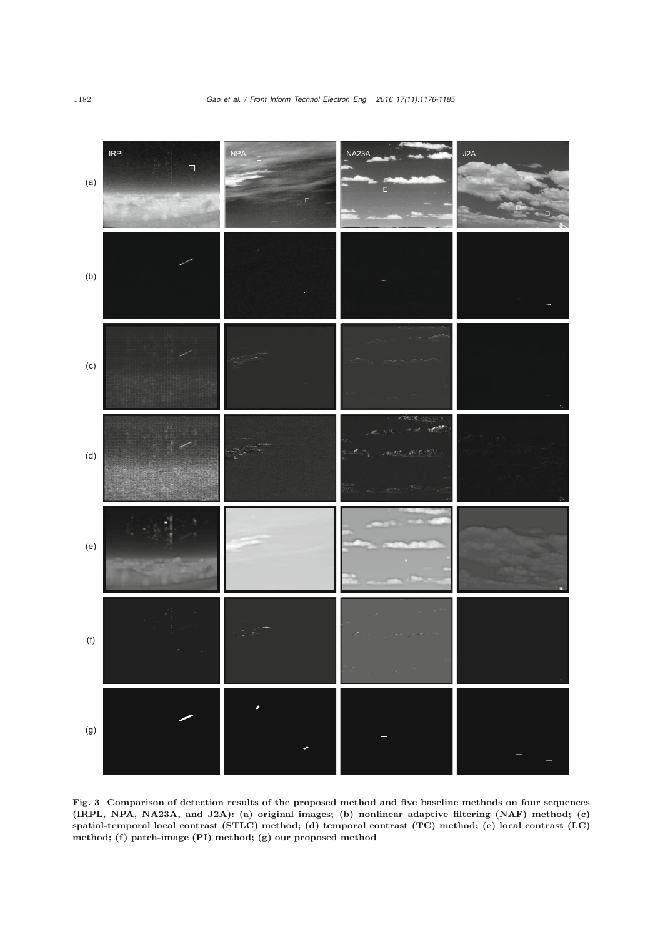

<span id="page-6-0"></span>Fig. 3 Comparison of detection results of the proposed method and five baseline methods on four sequences (IRPL, NPA, NA23A, and J2A): (a) original images; (b) nonlinear adaptive filtering (NAF) method; (c) spatial-temporal local contrast (STLC) method; (d) temporal contrast (TC) method; (e) local contrast (LC) method; (f) patch-image (PI) method; (g) our proposed method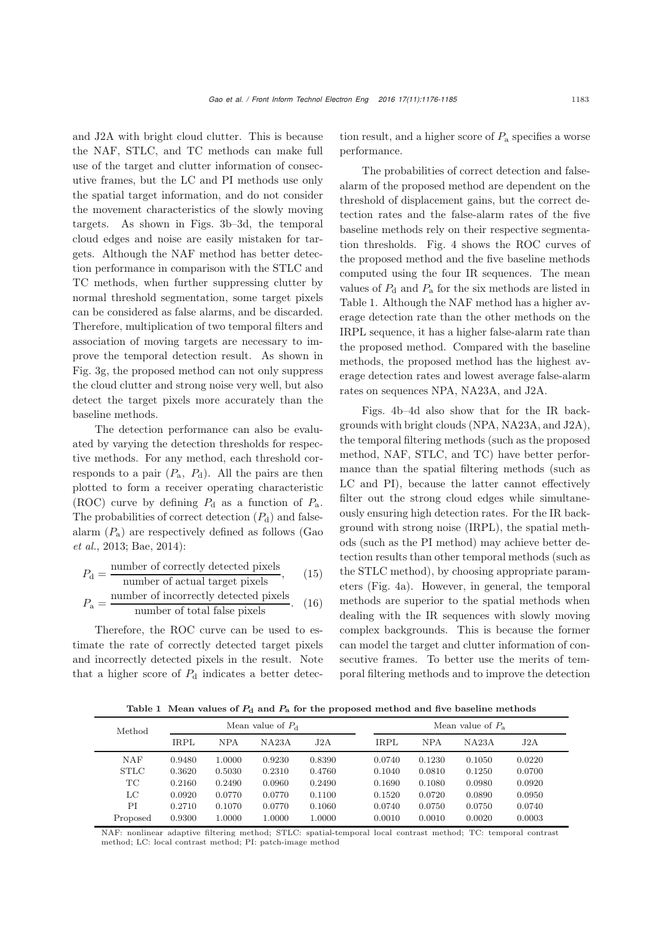and J2A with bright cloud clutter. This is because the NAF, STLC, and TC methods can make full use of the target and clutter information of consecutive frames, but the LC and PI methods use only the spatial target information, and do not consider the movement characteristics of the slowly moving targets. As shown in Figs. [3b–3d](#page-6-0), the temporal cloud edges and noise are easily mistaken for targets. Although the NAF method has better detection performance in comparison with the STLC and TC methods, when further suppressing clutter by normal threshold segmentation, some target pixels can be considered as false alarms, and be discarded. Therefore, multiplication of two temporal filters and association of moving targets are necessary to improve the temporal detection result. As shown in Fig. [3g](#page-6-0), the proposed method can not only suppress the cloud clutter and strong noise very well, but also detect the target pixels more accurately than the baseline methods.

The detection performance can also be evaluated by varying the detection thresholds for respective methods. For any method, each threshold corresponds to a pair  $(P_a, P_d)$ . All the pairs are then plotted to form a receiver operating characteristic (ROC) curve by defining  $P_d$  as a function of  $P_a$ . The probabilities of correct detection  $(P_d)$  and falsealarm  $(P_a)$  $(P_a)$  [are](#page-9-6) [respectively](#page-9-6) [defined](#page-9-6) [as](#page-9-6) [follows](#page-9-6) [\(](#page-9-6)Gao *et al.*, [2013;](#page-9-6) [Bae, 2014\)](#page-9-23):

$$
P_{\rm d} = \frac{\text{number of correctly detected pixels}}{\text{number of actual target pixels}},\qquad(15)
$$

$$
P_{\rm a} = \frac{\text{number of incorrectly detected pixels}}{\text{number of total false pixels}}. (16)
$$

Therefore, the ROC curve can be used to estimate the rate of correctly detected target pixels and incorrectly detected pixels in the result. Note that a higher score of  $P_d$  indicates a better detection result, and a higher score of  $P_a$  specifies a worse performance.

The probabilities of correct detection and falsealarm of the proposed method are dependent on the threshold of displacement gains, but the correct detection rates and the false-alarm rates of the five baseline methods rely on their respective segmentation thresholds. Fig. [4](#page-8-0) shows the ROC curves of the proposed method and the five baseline methods computed using the four IR sequences. The mean values of  $P_d$  and  $P_a$  for the six methods are listed in Table 1. Although the NAF method has a higher average detection rate than the other methods on the IRPL sequence, it has a higher false-alarm rate than the proposed method. Compared with the baseline methods, the proposed method has the highest average detection rates and lowest average false-alarm rates on sequences NPA, NA23A, and J2A.

Figs. [4b–4d](#page-8-0) also show that for the IR backgrounds with bright clouds (NPA, NA23A, and J2A), the temporal filtering methods (such as the proposed method, NAF, STLC, and TC) have better performance than the spatial filtering methods (such as LC and PI), because the latter cannot effectively filter out the strong cloud edges while simultaneously ensuring high detection rates. For the IR background with strong noise (IRPL), the spatial methods (such as the PI method) may achieve better detection results than other temporal methods (such as the STLC method), by choosing appropriate parameters (Fig. [4a](#page-8-0)). However, in general, the temporal methods are superior to the spatial methods when dealing with the IR sequences with slowly moving complex backgrounds. This is because the former can model the target and clutter information of consecutive frames. To better use the merits of temporal filtering methods and to improve the detection

Table 1 Mean values of  $P_d$  and  $P_a$  for the proposed method and five baseline methods

| Method      | Mean value of $P_{d}$ |            |        |        | Mean value of $P_a$ |            |        |        |
|-------------|-----------------------|------------|--------|--------|---------------------|------------|--------|--------|
|             | IRPL                  | <b>NPA</b> | NA23A  | J2A    | <b>IRPL</b>         | <b>NPA</b> | NA23A  | J2A    |
| <b>NAF</b>  | 0.9480                | 1.0000     | 0.9230 | 0.8390 | 0.0740              | 0.1230     | 0.1050 | 0.0220 |
| <b>STLC</b> | 0.3620                | 0.5030     | 0.2310 | 0.4760 | 0.1040              | 0.0810     | 0.1250 | 0.0700 |
| TC          | 0.2160                | 0.2490     | 0.0960 | 0.2490 | 0.1690              | 0.1080     | 0.0980 | 0.0920 |
| LC          | 0.0920                | 0.0770     | 0.0770 | 0.1100 | 0.1520              | 0.0720     | 0.0890 | 0.0950 |
| PI          | 0.2710                | 0.1070     | 0.0770 | 0.1060 | 0.0740              | 0.0750     | 0.0750 | 0.0740 |
| Proposed    | 0.9300                | 1.0000     | 1.0000 | 1.0000 | 0.0010              | 0.0010     | 0.0020 | 0.0003 |

NAF: nonlinear adaptive filtering method; STLC: spatial-temporal local contrast method; TC: temporal contrast method; LC: local contrast method; PI: patch-image method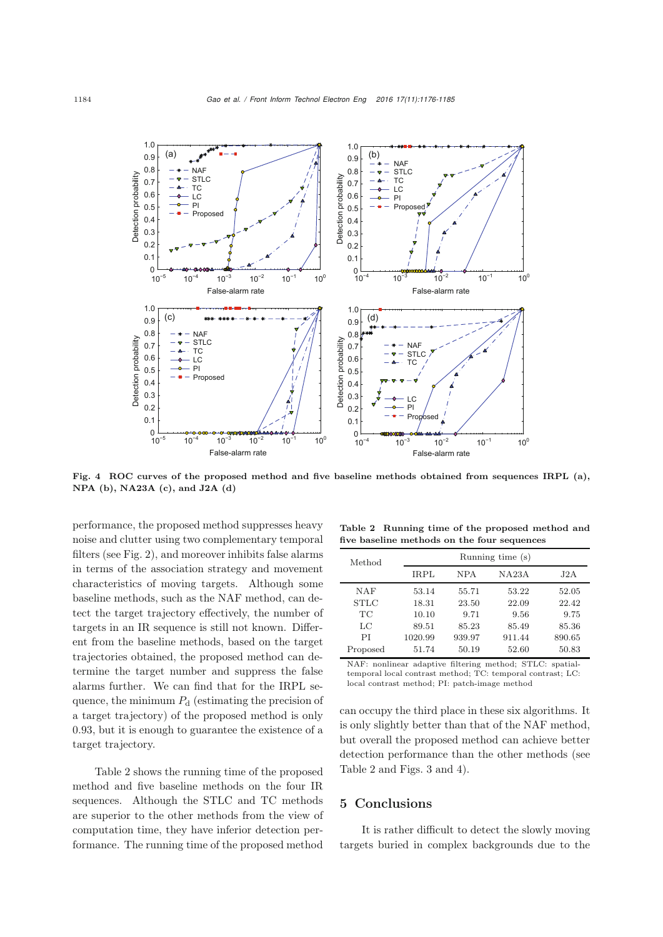

<span id="page-8-0"></span>Fig. 4 ROC curves of the proposed method and five baseline methods obtained from sequences IRPL (a), NPA (b), NA23A (c), and J2A (d)

performance, the proposed method suppresses heavy noise and clutter using two complementary temporal filters (see Fig. [2\)](#page-5-0), and moreover inhibits false alarms in terms of the association strategy and movement characteristics of moving targets. Although some baseline methods, such as the NAF method, can detect the target trajectory effectively, the number of targets in an IR sequence is still not known. Different from the baseline methods, based on the target trajectories obtained, the proposed method can determine the target number and suppress the false alarms further. We can find that for the IRPL sequence, the minimum  $P_d$  (estimating the precision of a target trajectory) of the proposed method is only 0.93, but it is enough to guarantee the existence of a target trajectory.

Table [2](#page-8-1) shows the running time of the proposed method and five baseline methods on the four IR sequences. Although the STLC and TC methods are superior to the other methods from the view of computation time, they have inferior detection performance. The running time of the proposed method

<span id="page-8-1"></span>Table 2 Running time of the proposed method and five baseline methods on the four sequences

| Method      | Running time (s) |            |        |        |  |  |  |
|-------------|------------------|------------|--------|--------|--|--|--|
|             | IRPL             | <b>NPA</b> | NA23A  | J2A    |  |  |  |
| NAF         | 53.14            | 55.71      | 53.22  | 52.05  |  |  |  |
| <b>STLC</b> | 18.31            | 23.50      | 22.09  | 22.42  |  |  |  |
| TС          | 10.10            | 9.71       | 9.56   | 9.75   |  |  |  |
| LC          | 89.51            | 85.23      | 85.49  | 85.36  |  |  |  |
| ΡI          | 1020.99          | 939.97     | 911.44 | 890.65 |  |  |  |
| Proposed    | 51.74            | 50.19      | 52.60  | 50.83  |  |  |  |

NAF: nonlinear adaptive filtering method; STLC: spatialtemporal local contrast method; TC: temporal contrast; LC: local contrast method; PI: patch-image method

can occupy the third place in these six algorithms. It is only slightly better than that of the NAF method, but overall the proposed method can achieve better detection performance than the other methods (see Table [2](#page-8-1) and Figs. [3](#page-6-0) and [4\)](#page-8-0).

## 5 Conclusions

It is rather difficult to detect the slowly moving targets buried in complex backgrounds due to the